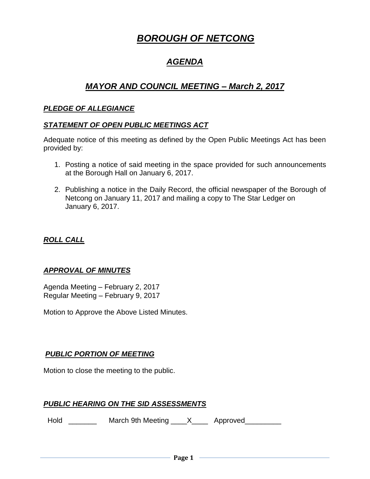# *BOROUGH OF NETCONG*

# *AGENDA*

# *MAYOR AND COUNCIL MEETING – March 2, 2017*

#### *PLEDGE OF ALLEGIANCE*

#### *STATEMENT OF OPEN PUBLIC MEETINGS ACT*

Adequate notice of this meeting as defined by the Open Public Meetings Act has been provided by:

- 1. Posting a notice of said meeting in the space provided for such announcements at the Borough Hall on January 6, 2017.
- 2. Publishing a notice in the Daily Record, the official newspaper of the Borough of Netcong on January 11, 2017 and mailing a copy to The Star Ledger on January 6, 2017.

## *ROLL CALL*

#### *APPROVAL OF MINUTES*

Agenda Meeting – February 2, 2017 Regular Meeting – February 9, 2017

Motion to Approve the Above Listed Minutes.

# *PUBLIC PORTION OF MEETING*

Motion to close the meeting to the public.

#### *PUBLIC HEARING ON THE SID ASSESSMENTS*

Hold \_\_\_\_\_\_\_\_ March 9th Meeting \_\_\_\_X\_\_\_\_ Approved\_\_\_\_\_\_\_\_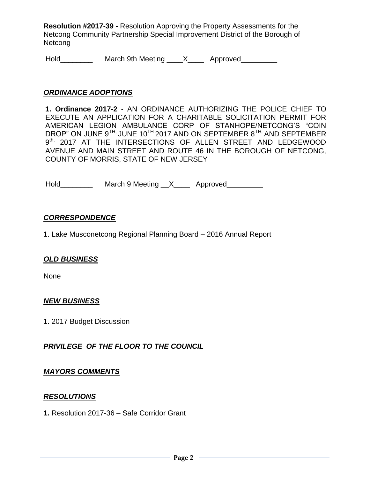**Resolution #2017-39 -** Resolution Approving the Property Assessments for the Netcong Community Partnership Special Improvement District of the Borough of Netcong

Hold\_\_\_\_\_\_\_\_\_\_\_\_ March 9th Meeting \_\_\_\_X\_\_\_\_\_ Approved\_\_\_\_\_\_\_\_\_

#### *ORDINANCE ADOPTIONS*

**1. Ordinance 2017-2** - AN ORDINANCE AUTHORIZING THE POLICE CHIEF TO EXECUTE AN APPLICATION FOR A CHARITABLE SOLICITATION PERMIT FOR AMERICAN LEGION AMBULANCE CORP OF STANHOPE/NETCONG'S "COIN DROP" ON JUNE  $9^{TH}$ , JUNE 10<sup>TH</sup> 2017 AND ON SEPTEMBER  $8^{TH}$ , AND SEPTEMBER 9<sup>th,</sup> 2017 AT THE INTERSECTIONS OF ALLEN STREET AND LEDGEWOOD AVENUE AND MAIN STREET AND ROUTE 46 IN THE BOROUGH OF NETCONG, COUNTY OF MORRIS, STATE OF NEW JERSEY

Hold\_\_\_\_\_\_\_\_\_\_\_ March 9 Meeting \_\_X\_\_\_\_ Approved\_\_\_\_\_\_\_\_\_

#### *CORRESPONDENCE*

1. Lake Musconetcong Regional Planning Board – 2016 Annual Report

#### *OLD BUSINESS*

None

#### *NEW BUSINESS*

1. 2017 Budget Discussion

#### *PRIVILEGE OF THE FLOOR TO THE COUNCIL*

#### *MAYORS COMMENTS*

#### *RESOLUTIONS*

**1.** Resolution 2017-36 – Safe Corridor Grant